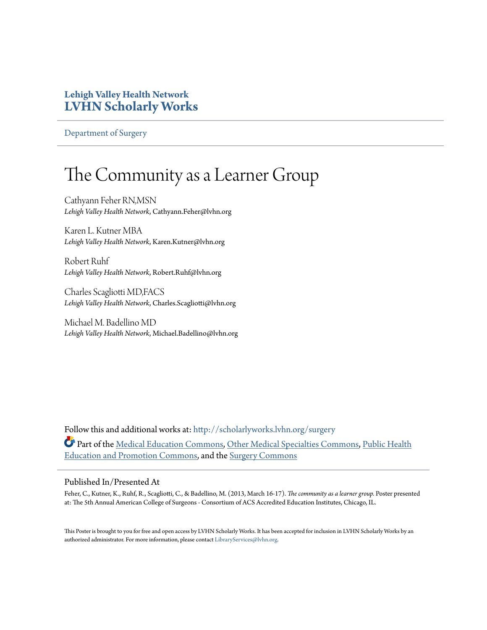## **Lehigh Valley Health Network [LVHN Scholarly Works](http://scholarlyworks.lvhn.org?utm_source=scholarlyworks.lvhn.org%2Fsurgery%2F138&utm_medium=PDF&utm_campaign=PDFCoverPages)**

[Department of Surgery](http://scholarlyworks.lvhn.org/surgery?utm_source=scholarlyworks.lvhn.org%2Fsurgery%2F138&utm_medium=PDF&utm_campaign=PDFCoverPages)

## The Community as a Learner Group

Cathyann Feher RN,MSN *Lehigh Valley Health Network*, Cathyann.Feher@lvhn.org

Karen L. Kutner MBA *Lehigh Valley Health Network*, Karen.Kutner@lvhn.org

Robert Ruhf *Lehigh Valley Health Network*, Robert.Ruhf@lvhn.org

Charles Scagliotti MD,FACS *Lehigh Valley Health Network*, Charles.Scagliotti@lvhn.org

Michael M. Badellino MD *Lehigh Valley Health Network*, Michael.Badellino@lvhn.org

Follow this and additional works at: [http://scholarlyworks.lvhn.org/surgery](http://scholarlyworks.lvhn.org/surgery?utm_source=scholarlyworks.lvhn.org%2Fsurgery%2F138&utm_medium=PDF&utm_campaign=PDFCoverPages) Part of the [Medical Education Commons,](http://network.bepress.com/hgg/discipline/1125?utm_source=scholarlyworks.lvhn.org%2Fsurgery%2F138&utm_medium=PDF&utm_campaign=PDFCoverPages) [Other Medical Specialties Commons](http://network.bepress.com/hgg/discipline/708?utm_source=scholarlyworks.lvhn.org%2Fsurgery%2F138&utm_medium=PDF&utm_campaign=PDFCoverPages), [Public Health](http://network.bepress.com/hgg/discipline/743?utm_source=scholarlyworks.lvhn.org%2Fsurgery%2F138&utm_medium=PDF&utm_campaign=PDFCoverPages) [Education and Promotion Commons](http://network.bepress.com/hgg/discipline/743?utm_source=scholarlyworks.lvhn.org%2Fsurgery%2F138&utm_medium=PDF&utm_campaign=PDFCoverPages), and the [Surgery Commons](http://network.bepress.com/hgg/discipline/706?utm_source=scholarlyworks.lvhn.org%2Fsurgery%2F138&utm_medium=PDF&utm_campaign=PDFCoverPages)

## Published In/Presented At

Feher, C., Kutner, K., Ruhf, R., Scagliotti, C., & Badellino, M. (2013, March 16-17). *The community as a learner group.* Poster presented at: The 5th Annual American College of Surgeons - Consortium of ACS Accredited Education Institutes, Chicago, IL.

This Poster is brought to you for free and open access by LVHN Scholarly Works. It has been accepted for inclusion in LVHN Scholarly Works by an authorized administrator. For more information, please contact [LibraryServices@lvhn.org.](mailto:LibraryServices@lvhn.org)